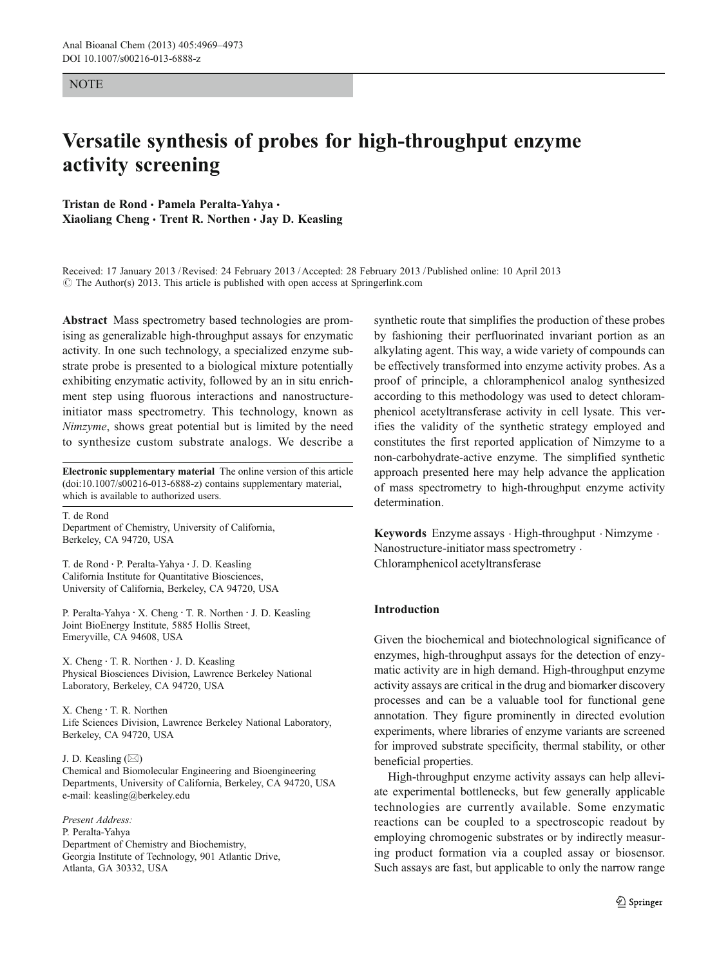### **NOTE**

# Versatile synthesis of probes for high-throughput enzyme activity screening

Tristan de Rond · Pamela Peralta-Yahya · Xiaoliang Cheng · Trent R. Northen · Jay D. Keasling

Received: 17 January 2013 /Revised: 24 February 2013 /Accepted: 28 February 2013 / Published online: 10 April 2013  $\odot$  The Author(s) 2013. This article is published with open access at Springerlink.com

Abstract Mass spectrometry based technologies are promising as generalizable high-throughput assays for enzymatic activity. In one such technology, a specialized enzyme substrate probe is presented to a biological mixture potentially exhibiting enzymatic activity, followed by an in situ enrichment step using fluorous interactions and nanostructureinitiator mass spectrometry. This technology, known as Nimzyme, shows great potential but is limited by the need to synthesize custom substrate analogs. We describe a

Electronic supplementary material The online version of this article (doi:[10.1007/s00216-013-6888-z\)](http://dx.doi.org/10.1007/s00216-013-6888-z) contains supplementary material, which is available to authorized users.

T. de Rond Department of Chemistry, University of California, Berkeley, CA 94720, USA

T. de Rond : P. Peralta-Yahya : J. D. Keasling California Institute for Quantitative Biosciences, University of California, Berkeley, CA 94720, USA

P. Peralta-Yahya : X. Cheng : T. R. Northen : J. D. Keasling Joint BioEnergy Institute, 5885 Hollis Street, Emeryville, CA 94608, USA

X. Cheng : T. R. Northen : J. D. Keasling Physical Biosciences Division, Lawrence Berkeley National Laboratory, Berkeley, CA 94720, USA

X. Cheng : T. R. Northen Life Sciences Division, Lawrence Berkeley National Laboratory, Berkeley, CA 94720, USA

J. D. Keasling  $(\boxtimes)$ Chemical and Biomolecular Engineering and Bioengineering Departments, University of California, Berkeley, CA 94720, USA e-mail: keasling@berkeley.edu

Present Address:

P. Peralta-Yahya Department of Chemistry and Biochemistry, Georgia Institute of Technology, 901 Atlantic Drive, Atlanta, GA 30332, USA

synthetic route that simplifies the production of these probes by fashioning their perfluorinated invariant portion as an alkylating agent. This way, a wide variety of compounds can be effectively transformed into enzyme activity probes. As a proof of principle, a chloramphenicol analog synthesized according to this methodology was used to detect chloramphenicol acetyltransferase activity in cell lysate. This verifies the validity of the synthetic strategy employed and constitutes the first reported application of Nimzyme to a non-carbohydrate-active enzyme. The simplified synthetic approach presented here may help advance the application of mass spectrometry to high-throughput enzyme activity determination.

Keywords Enzyme assays . High-throughput . Nimzyme . Nanostructure-initiator mass spectrometry . Chloramphenicol acetyltransferase

# Introduction

Given the biochemical and biotechnological significance of enzymes, high-throughput assays for the detection of enzymatic activity are in high demand. High-throughput enzyme activity assays are critical in the drug and biomarker discovery processes and can be a valuable tool for functional gene annotation. They figure prominently in directed evolution experiments, where libraries of enzyme variants are screened for improved substrate specificity, thermal stability, or other beneficial properties.

High-throughput enzyme activity assays can help alleviate experimental bottlenecks, but few generally applicable technologies are currently available. Some enzymatic reactions can be coupled to a spectroscopic readout by employing chromogenic substrates or by indirectly measuring product formation via a coupled assay or biosensor. Such assays are fast, but applicable to only the narrow range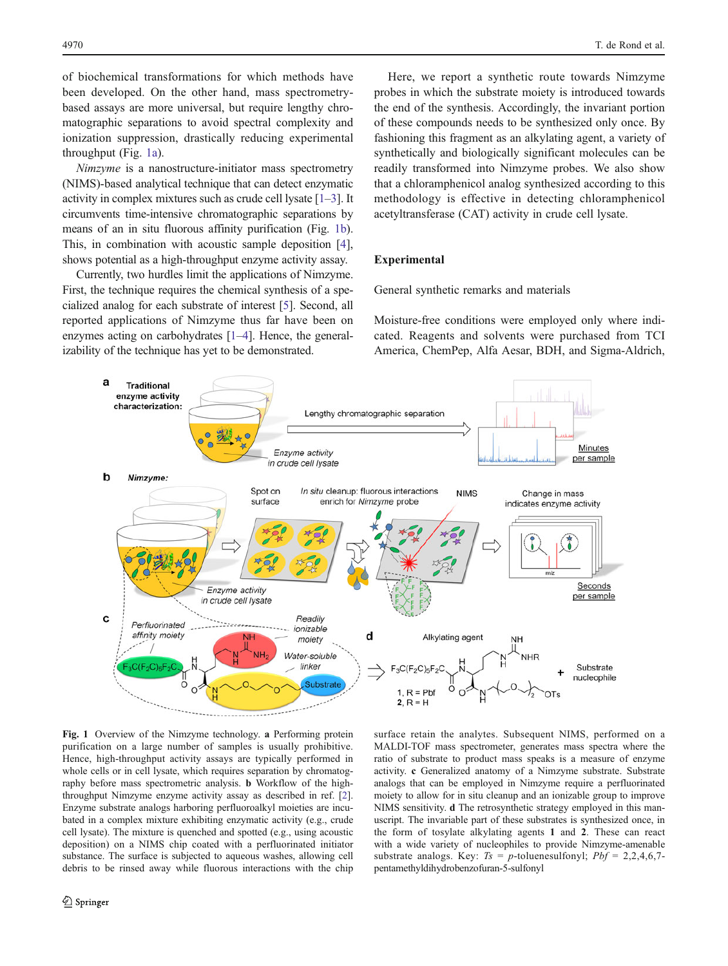<span id="page-1-0"></span>of biochemical transformations for which methods have been developed. On the other hand, mass spectrometrybased assays are more universal, but require lengthy chromatographic separations to avoid spectral complexity and ionization suppression, drastically reducing experimental throughput (Fig. 1a).

Nimzyme is a nanostructure-initiator mass spectrometry (NIMS)-based analytical technique that can detect enzymatic activity in complex mixtures such as crude cell lysate [[1](#page-4-0)–[3\]](#page-4-0). It circumvents time-intensive chromatographic separations by means of an in situ fluorous affinity purification (Fig. 1b). This, in combination with acoustic sample deposition [\[4](#page-4-0)], shows potential as a high-throughput enzyme activity assay.

Currently, two hurdles limit the applications of Nimzyme. First, the technique requires the chemical synthesis of a specialized analog for each substrate of interest [[5\]](#page-4-0). Second, all reported applications of Nimzyme thus far have been on enzymes acting on carbohydrates [[1](#page-4-0)–[4](#page-4-0)]. Hence, the generalizability of the technique has yet to be demonstrated.

Here, we report a synthetic route towards Nimzyme probes in which the substrate moiety is introduced towards the end of the synthesis. Accordingly, the invariant portion of these compounds needs to be synthesized only once. By fashioning this fragment as an alkylating agent, a variety of synthetically and biologically significant molecules can be readily transformed into Nimzyme probes. We also show that a chloramphenicol analog synthesized according to this methodology is effective in detecting chloramphenicol acetyltransferase (CAT) activity in crude cell lysate.

# Experimental

General synthetic remarks and materials

Moisture-free conditions were employed only where indicated. Reagents and solvents were purchased from TCI America, ChemPep, Alfa Aesar, BDH, and Sigma-Aldrich,



Fig. 1 Overview of the Nimzyme technology. a Performing protein purification on a large number of samples is usually prohibitive. Hence, high-throughput activity assays are typically performed in whole cells or in cell lysate, which requires separation by chromatography before mass spectrometric analysis. b Workflow of the highthroughput Nimzyme enzyme activity assay as described in ref. [\[2](#page-4-0)]. Enzyme substrate analogs harboring perfluoroalkyl moieties are incubated in a complex mixture exhibiting enzymatic activity (e.g., crude cell lysate). The mixture is quenched and spotted (e.g., using acoustic deposition) on a NIMS chip coated with a perfluorinated initiator substance. The surface is subjected to aqueous washes, allowing cell debris to be rinsed away while fluorous interactions with the chip

surface retain the analytes. Subsequent NIMS, performed on a MALDI-TOF mass spectrometer, generates mass spectra where the ratio of substrate to product mass speaks is a measure of enzyme activity. c Generalized anatomy of a Nimzyme substrate. Substrate analogs that can be employed in Nimzyme require a perfluorinated moiety to allow for in situ cleanup and an ionizable group to improve NIMS sensitivity. d The retrosynthetic strategy employed in this manuscript. The invariable part of these substrates is synthesized once, in the form of tosylate alkylating agents 1 and 2. These can react with a wide variety of nucleophiles to provide Nimzyme-amenable substrate analogs. Key:  $Ts = p$ -toluenesulfonyl;  $Pbf = 2,2,4,6,7$ pentamethyldihydrobenzofuran-5-sulfonyl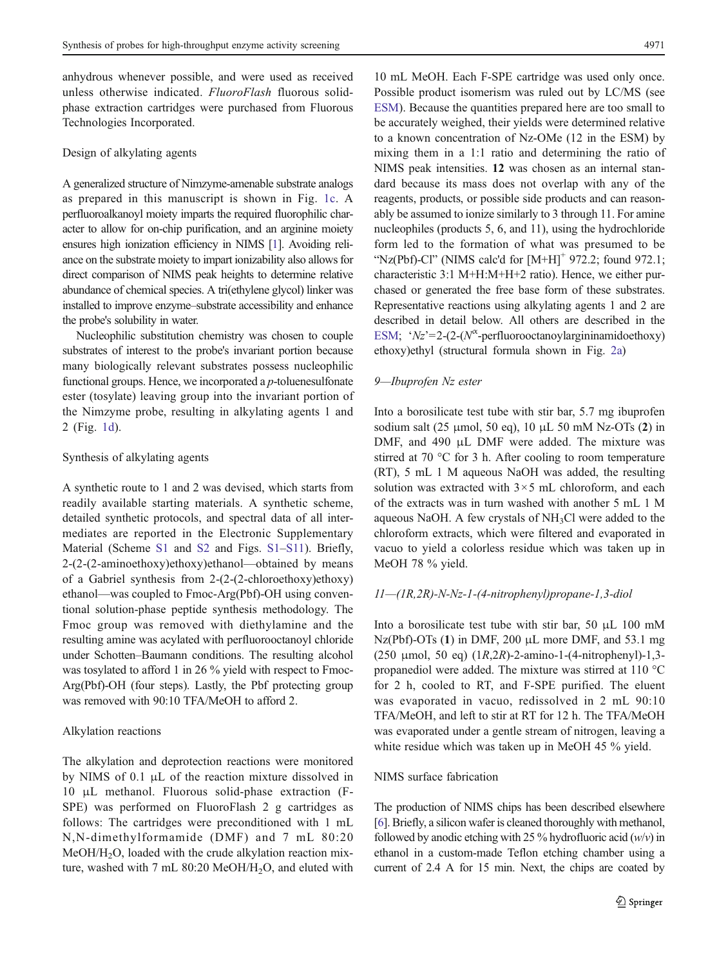anhydrous whenever possible, and were used as received unless otherwise indicated. FluoroFlash fluorous solidphase extraction cartridges were purchased from Fluorous Technologies Incorporated.

#### Design of alkylating agents

A generalized structure of Nimzyme-amenable substrate analogs as prepared in this manuscript is shown in Fig. [1c.](#page-1-0) A perfluoroalkanoyl moiety imparts the required fluorophilic character to allow for on-chip purification, and an arginine moiety ensures high ionization efficiency in NIMS [\[1](#page-4-0)]. Avoiding reliance on the substrate moiety to impart ionizability also allows for direct comparison of NIMS peak heights to determine relative abundance of chemical species. A tri(ethylene glycol) linker was installed to improve enzyme–substrate accessibility and enhance the probe's solubility in water.

Nucleophilic substitution chemistry was chosen to couple substrates of interest to the probe's invariant portion because many biologically relevant substrates possess nucleophilic functional groups. Hence, we incorporated a  $p$ -toluenesulfonate ester (tosylate) leaving group into the invariant portion of the Nimzyme probe, resulting in alkylating agents 1 and 2 (Fig. [1d\)](#page-1-0).

## Synthesis of alkylating agents

A synthetic route to 1 and 2 was devised, which starts from readily available starting materials. A synthetic scheme, detailed synthetic protocols, and spectral data of all intermediates are reported in the Electronic Supplementary Material (Scheme S1 and S2 and Figs. S1–S11). Briefly, 2-(2-(2-aminoethoxy)ethoxy)ethanol—obtained by means of a Gabriel synthesis from 2-(2-(2-chloroethoxy)ethoxy) ethanol—was coupled to Fmoc-Arg(Pbf)-OH using conventional solution-phase peptide synthesis methodology. The Fmoc group was removed with diethylamine and the resulting amine was acylated with perfluorooctanoyl chloride under Schotten–Baumann conditions. The resulting alcohol was tosylated to afford 1 in 26 % yield with respect to Fmoc-Arg(Pbf)-OH (four steps). Lastly, the Pbf protecting group was removed with 90:10 TFA/MeOH to afford 2.

## Alkylation reactions

The alkylation and deprotection reactions were monitored by NIMS of 0.1 μL of the reaction mixture dissolved in 10 μL methanol. Fluorous solid-phase extraction (F-SPE) was performed on FluoroFlash 2 g cartridges as follows: The cartridges were preconditioned with 1 mL N,N-dimethylformamide (DMF) and 7 mL 80:20  $MeOH/H<sub>2</sub>O$ , loaded with the crude alkylation reaction mixture, washed with 7 mL 80:20 MeOH/H<sub>2</sub>O, and eluted with

10 mL MeOH. Each F-SPE cartridge was used only once. Possible product isomerism was ruled out by LC/MS (see ESM). Because the quantities prepared here are too small to be accurately weighed, their yields were determined relative to a known concentration of Nz-OMe (12 in the ESM) by mixing them in a 1:1 ratio and determining the ratio of NIMS peak intensities. 12 was chosen as an internal standard because its mass does not overlap with any of the reagents, products, or possible side products and can reasonably be assumed to ionize similarly to 3 through 11. For amine nucleophiles (products 5, 6, and 11), using the hydrochloride form led to the formation of what was presumed to be "Nz(Pbf)-Cl" (NIMS calc'd for  $[M+H]$ <sup>+</sup> 972.2; found 972.1; characteristic 3:1 M+H:M+H+2 ratio). Hence, we either purchased or generated the free base form of these substrates. Representative reactions using alkylating agents 1 and 2 are described in detail below. All others are described in the ESM; ' $Nz$ '=2-(2-( $N^{\alpha}$ -perfluorooctanoylargininamidoethoxy) ethoxy)ethyl (structural formula shown in Fig. [2a](#page-3-0))

### 9—Ibuprofen Nz ester

Into a borosilicate test tube with stir bar, 5.7 mg ibuprofen sodium salt (25 μmol, 50 eq), 10 μL 50 mM Nz-OTs (2) in DMF, and 490 μL DMF were added. The mixture was stirred at 70 °C for 3 h. After cooling to room temperature (RT), 5 mL 1 M aqueous NaOH was added, the resulting solution was extracted with  $3 \times 5$  mL chloroform, and each of the extracts was in turn washed with another 5 mL 1 M aqueous NaOH. A few crystals of NH3Cl were added to the chloroform extracts, which were filtered and evaporated in vacuo to yield a colorless residue which was taken up in MeOH 78 % yield.

#### 11—(1R,2R)-N-Nz-1-(4-nitrophenyl)propane-1,3-diol

Into a borosilicate test tube with stir bar, 50 μL 100 mM Nz(Pbf)-OTs (1) in DMF, 200 μL more DMF, and 53.1 mg (250 μmol, 50 eq)  $(1R, 2R)$ -2-amino-1- $(4$ -nitrophenyl $)$ -1,3propanediol were added. The mixture was stirred at 110 °C for 2 h, cooled to RT, and F-SPE purified. The eluent was evaporated in vacuo, redissolved in 2 mL 90:10 TFA/MeOH, and left to stir at RT for 12 h. The TFA/MeOH was evaporated under a gentle stream of nitrogen, leaving a white residue which was taken up in MeOH 45 % yield.

## NIMS surface fabrication

The production of NIMS chips has been described elsewhere [\[6\]](#page-4-0). Briefly, a silicon wafer is cleaned thoroughly with methanol, followed by anodic etching with 25 % hydrofluoric acid  $(w/v)$  in ethanol in a custom-made Teflon etching chamber using a current of 2.4 A for 15 min. Next, the chips are coated by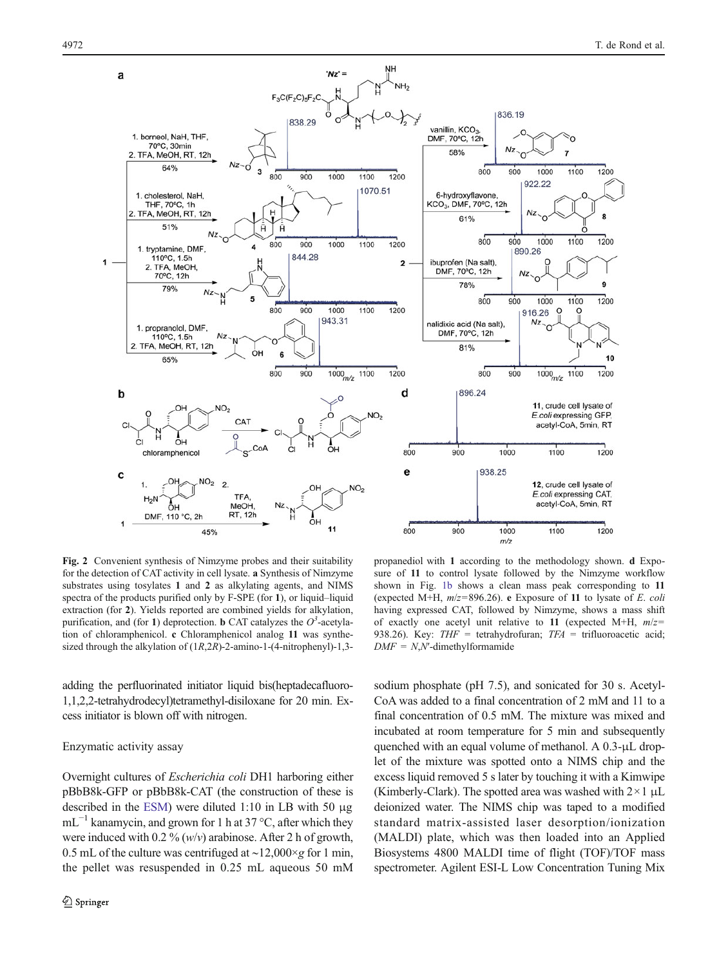<span id="page-3-0"></span>

Fig. 2 Convenient synthesis of Nimzyme probes and their suitability for the detection of CAT activity in cell lysate. a Synthesis of Nimzyme substrates using tosylates 1 and 2 as alkylating agents, and NIMS spectra of the products purified only by F-SPE (for 1), or liquid–liquid extraction (for 2). Yields reported are combined yields for alkylation, purification, and (for 1) deprotection. **b** CAT catalyzes the  $O^3$ -acetylation of chloramphenicol. c Chloramphenicol analog 11 was synthesized through the alkylation of (1R,2R)-2-amino-1-(4-nitrophenyl)-1,3-

propanediol with 1 according to the methodology shown. d Exposure of 11 to control lysate followed by the Nimzyme workflow shown in Fig. [1b](#page-1-0) shows a clean mass peak corresponding to 11 (expected M+H,  $m/z = 896.26$ ). e Exposure of 11 to lysate of E. coli having expressed CAT, followed by Nimzyme, shows a mass shift of exactly one acetyl unit relative to 11 (expected M+H,  $m/z=$ 938.26). Key:  $THF = \text{tetrahydrofuran}$ ;  $TFA = \text{trifluoroacetic acid}$ ;  $DMF = N$ , N'-dimethylformamide

adding the perfluorinated initiator liquid bis(heptadecafluoro-1,1,2,2-tetrahydrodecyl)tetramethyl-disiloxane for 20 min. Excess initiator is blown off with nitrogen.

### Enzymatic activity assay

Overnight cultures of Escherichia coli DH1 harboring either pBbB8k-GFP or pBbB8k-CAT (the construction of these is described in the ESM) were diluted 1:10 in LB with 50 μg  $mL^{-1}$  kanamycin, and grown for 1 h at 37 °C, after which they were induced with 0.2 %  $(w/v)$  arabinose. After 2 h of growth, 0.5 mL of the culture was centrifuged at ∼12,000×g for 1 min, the pellet was resuspended in 0.25 mL aqueous 50 mM sodium phosphate (pH 7.5), and sonicated for 30 s. Acetyl-CoA was added to a final concentration of 2 mM and 11 to a final concentration of 0.5 mM. The mixture was mixed and incubated at room temperature for 5 min and subsequently quenched with an equal volume of methanol. A 0.3-μL droplet of the mixture was spotted onto a NIMS chip and the excess liquid removed 5 s later by touching it with a Kimwipe (Kimberly-Clark). The spotted area was washed with  $2 \times 1 \mu L$ deionized water. The NIMS chip was taped to a modified standard matrix-assisted laser desorption/ionization (MALDI) plate, which was then loaded into an Applied Biosystems 4800 MALDI time of flight (TOF)/TOF mass spectrometer. Agilent ESI-L Low Concentration Tuning Mix